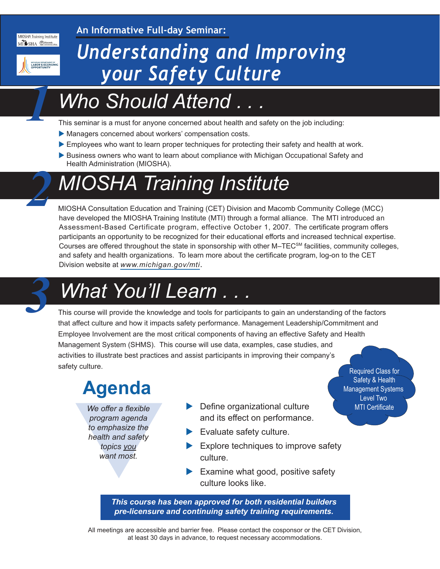MIOSHA Training Institute MISHA Macomb

**An Informative Full-day Seminar:**



*1*

*2*

## *Understanding and Improving your Safety Culture*

### *Who Should Attend . . .*

This seminar is a must for anyone concerned about health and safety on the job including:

- Managers concerned about workers' compensation costs.
- Employees who want to learn proper techniques for protecting their safety and health at work.
- Business owners who want to learn about compliance with Michigan Occupational Safety and Health Administration (MIOSHA).

## *MIOSHA Training Institute*

MIOSHA Consultation Education and Training (CET) Division and Macomb Community College (MCC) have developed the MIOSHA Training Institute (MTI) through a formal alliance. The MTI introduced an Assessment-Based Certificate program, effective October 1, 2007. The certificate program offers participants an opportunity to be recognized for their educational efforts and increased technical expertise. Courses are offered throughout the state in sponsorship with other M–TEC<sup>SM</sup> facilities, community colleges, and safety and health organizations. To learn more about the certificate program, log-on to the CET Division website at *[www.michigan.gov/mti](http://www.michigan.gov/mti)*.

# *What You'll Learn . . . 3*

This course will provide the knowledge and tools for participants to gain an understanding of the factors that affect culture and how it impacts safety performance. Management Leadership/Commitment and Employee Involvement are the most critical components of having an effective Safety and Health Management System (SHMS). This course will use data, examples, case studies, and activities to illustrate best practices and assist participants in improving their company's safety culture.<br>
Required Class for

### **Agenda**

We offer a flexible<br>program agenda<br>to emphasize the<br>health and safety<br>topics you<br>want most. *We offer a flexible program agenda to emphasize the health and safety topics you want most.*

- Define organizational culture MTI Certificate and its effect on performance.
- $\blacktriangleright$  Evaluate safety culture.
- $\blacktriangleright$  Explore techniques to improve safety culture.

 Safety & Health Management Systems Level Two

 $\blacktriangleright$  Examine what good, positive safety culture looks like.

*This course has been approved for both residential builders pre-licensure and continuing safety training requirements.*

All meetings are accessible and barrier free. Please contact the cosponsor or the CET Division, at least 30 days in advance, to request necessary accommodations.